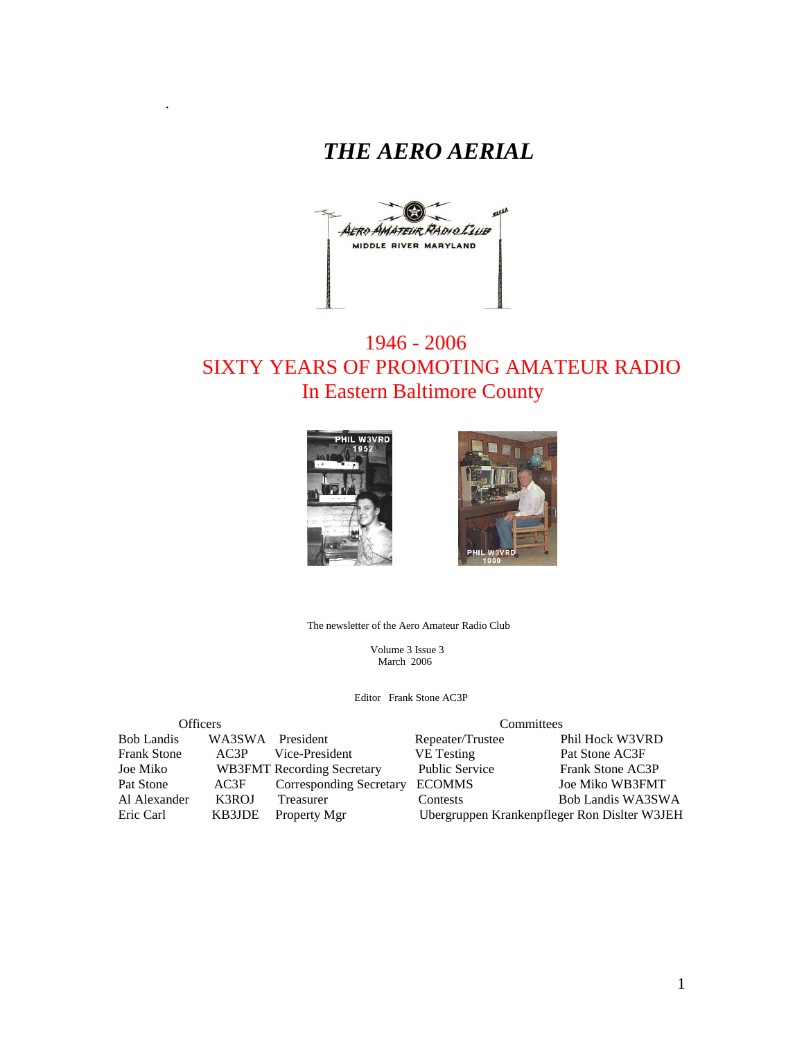



# 1946 - 2006 SIXTY YEARS OF PROMOTING AMATEUR RADIO In Eastern Baltimore County



.



The newsletter of the Aero Amateur Radio Club

 Volume 3 Issue 3 March 2006

Editor Frank Stone AC3P

| <b>Officers</b>    |        |                                   | Committees                                   |                        |  |  |
|--------------------|--------|-----------------------------------|----------------------------------------------|------------------------|--|--|
| <b>Bob Landis</b>  | WA3SWA | President                         | Repeater/Trustee                             | Phil Hock W3VRD        |  |  |
| <b>Frank Stone</b> | AC3P   | Vice-President                    | <b>VE</b> Testing                            | Pat Stone AC3F         |  |  |
| Joe Miko           |        | <b>WB3FMT</b> Recording Secretary | <b>Public Service</b>                        | Frank Stone AC3P       |  |  |
| Pat Stone          | AC3F   | <b>Corresponding Secretary</b>    | <b>ECOMMS</b>                                | <b>Joe Miko WB3FMT</b> |  |  |
| Al Alexander       | K3ROJ  | Treasurer                         | <b>Contests</b>                              | Bob Landis WA3SWA      |  |  |
| Eric Carl          | KB3JDE | Property Mgr                      | Ubergruppen Krankenpfleger Ron Dislter W3JEH |                        |  |  |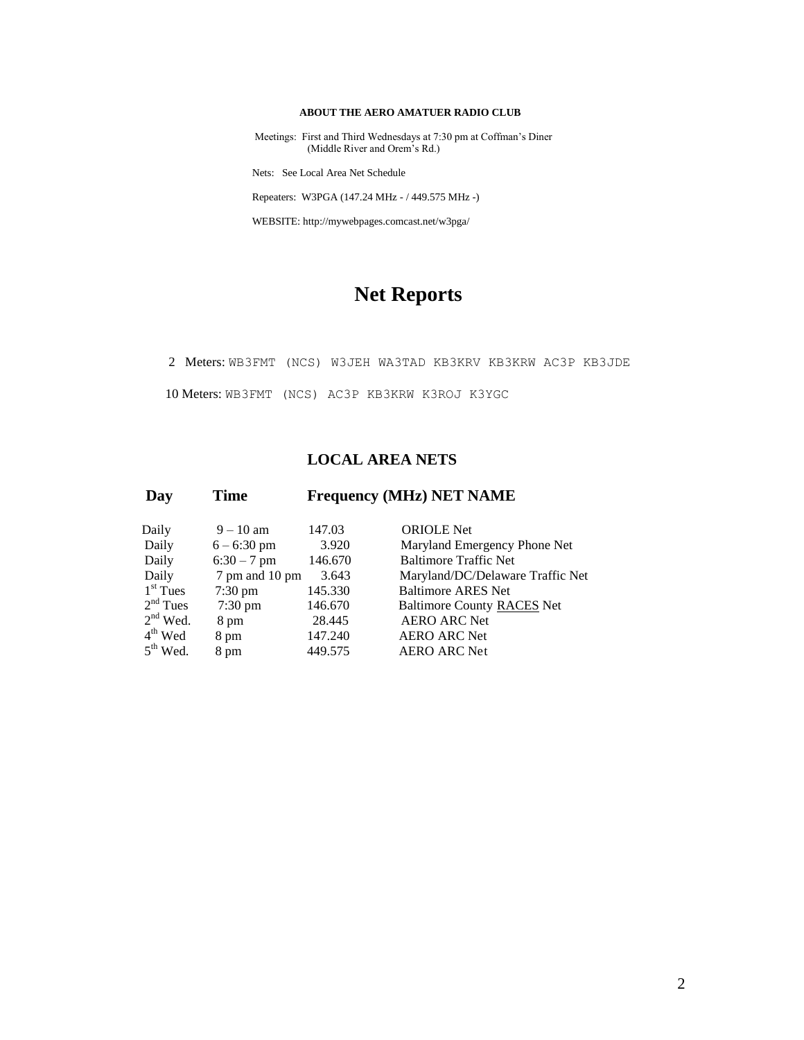#### **ABOUT THE AERO AMATUER RADIO CLUB**

 Meetings: First and Third Wednesdays at 7:30 pm at Coffman's Diner (Middle River and Orem's Rd.)

Nets: See Local Area Net Schedule

Repeaters: W3PGA (147.24 MHz - / 449.575 MHz -)

WEBSITE: http://mywebpages.comcast.net/w3pga/

# **Net Reports**

2 Meters: WB3FMT (NCS) W3JEH WA3TAD KB3KRV KB3KRW AC3P KB3JDE

10 Meters: WB3FMT (NCS) AC3P KB3KRW K3ROJ K3YGC

#### **LOCAL AREA NETS**

| Day |            | <b>Time</b>       | <b>Frequency (MHz) NET NAME</b> |                                   |  |  |
|-----|------------|-------------------|---------------------------------|-----------------------------------|--|--|
|     | Daily      | $9 - 10$ am       | 147.03                          | <b>ORIOLE</b> Net                 |  |  |
|     | Daily      | $6 - 6:30$ pm     | 3.920                           | Maryland Emergency Phone Net      |  |  |
|     | Daily      | $6:30 - 7$ pm     | 146.670                         | <b>Baltimore Traffic Net</b>      |  |  |
|     | Daily      | 7 pm and 10 pm    | 3.643                           | Maryland/DC/Delaware Traffic Net  |  |  |
|     | $1st$ Tues | $7:30 \text{ pm}$ | 145.330                         | <b>Baltimore ARES Net</b>         |  |  |
|     | $2nd$ Tues | $7:30 \text{ pm}$ | 146.670                         | <b>Baltimore County RACES Net</b> |  |  |
|     | $2nd$ Wed. | 8 pm              | 28.445                          | <b>AERO ARC Net</b>               |  |  |
|     | $4th$ Wed  | 8 pm              | 147.240                         | <b>AERO ARC Net</b>               |  |  |
|     | $5th$ Wed. | 8 pm              | 449.575                         | <b>AERO ARC Net</b>               |  |  |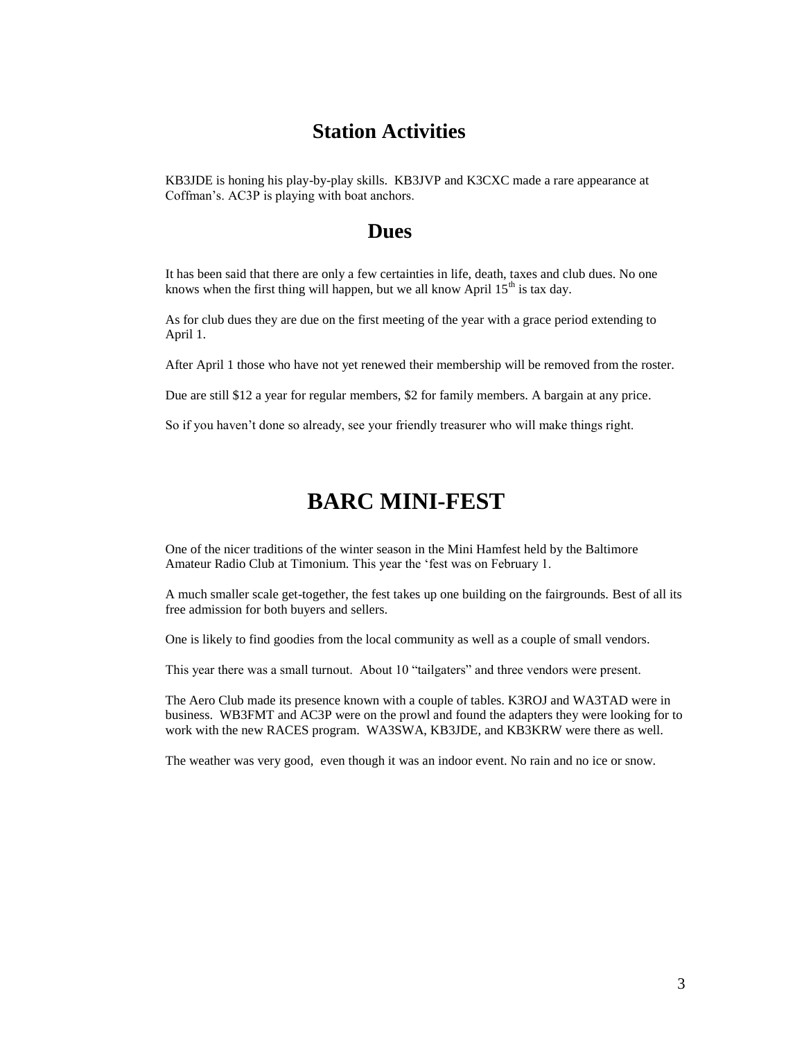## **Station Activities**

KB3JDE is honing his play-by-play skills. KB3JVP and K3CXC made a rare appearance at Coffman's. AC3P is playing with boat anchors.

### **Dues**

It has been said that there are only a few certainties in life, death, taxes and club dues. No one knows when the first thing will happen, but we all know April  $15<sup>th</sup>$  is tax day.

As for club dues they are due on the first meeting of the year with a grace period extending to April 1.

After April 1 those who have not yet renewed their membership will be removed from the roster.

Due are still \$12 a year for regular members, \$2 for family members. A bargain at any price.

So if you haven't done so already, see your friendly treasurer who will make things right.

# **BARC MINI-FEST**

One of the nicer traditions of the winter season in the Mini Hamfest held by the Baltimore Amateur Radio Club at Timonium. This year the 'fest was on February 1.

A much smaller scale get-together, the fest takes up one building on the fairgrounds. Best of all its free admission for both buyers and sellers.

One is likely to find goodies from the local community as well as a couple of small vendors.

This year there was a small turnout. About 10 "tailgaters" and three vendors were present.

The Aero Club made its presence known with a couple of tables. K3ROJ and WA3TAD were in business. WB3FMT and AC3P were on the prowl and found the adapters they were looking for to work with the new RACES program. WA3SWA, KB3JDE, and KB3KRW were there as well.

The weather was very good, even though it was an indoor event. No rain and no ice or snow.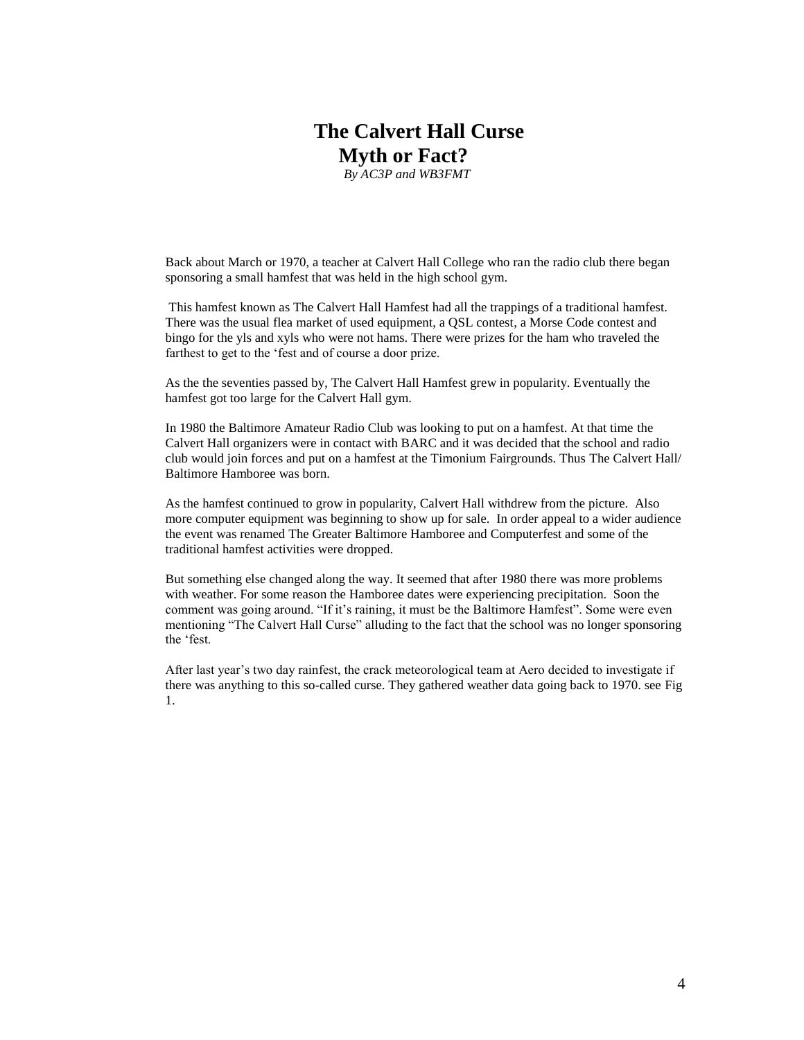# **The Calvert Hall Curse Myth or Fact?**

*By AC3P and WB3FMT*

Back about March or 1970, a teacher at Calvert Hall College who ran the radio club there began sponsoring a small hamfest that was held in the high school gym.

This hamfest known as The Calvert Hall Hamfest had all the trappings of a traditional hamfest. There was the usual flea market of used equipment, a QSL contest, a Morse Code contest and bingo for the yls and xyls who were not hams. There were prizes for the ham who traveled the farthest to get to the 'fest and of course a door prize.

As the the seventies passed by, The Calvert Hall Hamfest grew in popularity. Eventually the hamfest got too large for the Calvert Hall gym.

In 1980 the Baltimore Amateur Radio Club was looking to put on a hamfest. At that time the Calvert Hall organizers were in contact with BARC and it was decided that the school and radio club would join forces and put on a hamfest at the Timonium Fairgrounds. Thus The Calvert Hall/ Baltimore Hamboree was born.

As the hamfest continued to grow in popularity, Calvert Hall withdrew from the picture. Also more computer equipment was beginning to show up for sale. In order appeal to a wider audience the event was renamed The Greater Baltimore Hamboree and Computerfest and some of the traditional hamfest activities were dropped.

But something else changed along the way. It seemed that after 1980 there was more problems with weather. For some reason the Hamboree dates were experiencing precipitation. Soon the comment was going around. "If it's raining, it must be the Baltimore Hamfest". Some were even mentioning "The Calvert Hall Curse" alluding to the fact that the school was no longer sponsoring the 'fest.

After last year's two day rainfest, the crack meteorological team at Aero decided to investigate if there was anything to this so-called curse. They gathered weather data going back to 1970. see Fig 1.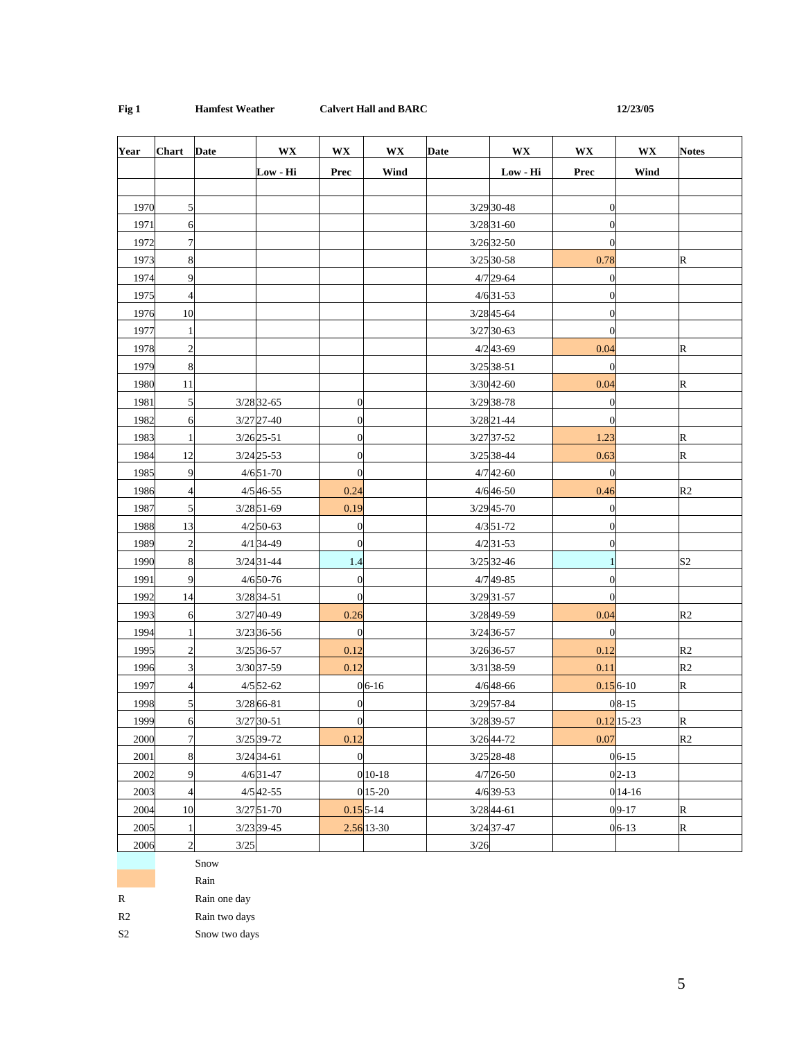#### **Fig 1 Hamfest Weather Calvert Hall and BARC 12/23/05**

| Year | <b>Chart</b>            | <b>Date</b> | <b>WX</b>     | <b>WX</b>        | <b>WX</b>               | Date   | <b>WX</b>     | <b>WX</b>        | <b>WX</b>    | <b>Notes</b>   |
|------|-------------------------|-------------|---------------|------------------|-------------------------|--------|---------------|------------------|--------------|----------------|
|      |                         |             | Low - Hi      | Prec             | Wind                    |        | Low - Hi      | Prec             | Wind         |                |
|      |                         |             |               |                  |                         |        |               |                  |              |                |
| 1970 | 5                       |             |               |                  |                         |        | 3/29 30-48    | $\theta$         |              |                |
| 1971 | 6                       |             |               |                  |                         |        | $3/28$ 31-60  | $\theta$         |              |                |
| 1972 | 7                       |             |               |                  |                         |        | $3/26$ 32-50  | $\theta$         |              |                |
| 1973 | 8                       |             |               |                  |                         |        | 3/25 30-58    | 0.78             |              | R              |
| 1974 | 9                       |             |               |                  |                         |        | $4/7$ 29-64   | $\overline{0}$   |              |                |
| 1975 | $\overline{4}$          |             |               |                  |                         |        | $4/6$ 31-53   | $\theta$         |              |                |
| 1976 | 10                      |             |               |                  |                         |        | $3/2845 - 64$ | $\overline{0}$   |              |                |
| 1977 | $\mathbf{1}$            |             |               |                  |                         |        | 3/27 30-63    | $\overline{0}$   |              |                |
| 1978 | $\overline{c}$          |             |               |                  |                         |        | $4/2$ 43-69   | 0.04             |              | R              |
| 1979 | 8                       |             |               |                  |                         |        | $3/25$ 38-51  | $\overline{0}$   |              |                |
| 1980 | 11                      |             |               |                  |                         |        | $3/3042 - 60$ | 0.04             |              | $\mathbb R$    |
| 1981 | 5                       |             | $3/2832 - 65$ | $\boldsymbol{0}$ |                         |        | 3/29 38-78    | $\theta$         |              |                |
| 1982 | 6                       |             | $3/27$ 27-40  | $\boldsymbol{0}$ |                         |        | 3/28 21-44    | $\overline{0}$   |              |                |
| 1983 | $\mathbf{1}$            |             | $3/26$ 25-51  | $\boldsymbol{0}$ |                         |        | $3/27$ 37-52  | 1.23             |              | $\mathbb R$    |
| 1984 | 12                      |             | $3/24$ 25-53  | $\boldsymbol{0}$ |                         |        | 3/25 38-44    | 0.63             |              | R              |
| 1985 | 9                       |             | $4/651-70$    | $\boldsymbol{0}$ |                         |        | $4/742 - 60$  | $\boldsymbol{0}$ |              |                |
| 1986 | $\overline{4}$          |             | $4/546 - 55$  | 0.24             |                         |        | $4/646 - 50$  | 0.46             |              | R <sub>2</sub> |
| 1987 | 5                       |             | $3/28$ 51-69  | 0.19             |                         |        | $3/29$ 45-70  | $\theta$         |              |                |
| 1988 | 13                      |             | $4/2$ 50-63   | $\boldsymbol{0}$ |                         |        | $4/3$ 51-72   | $\theta$         |              |                |
| 1989 | $\sqrt{2}$              |             | $4/1$ 34-49   | $\boldsymbol{0}$ |                         |        | $4/2$ 31-53   | $\overline{0}$   |              |                |
| 1990 | 8                       |             | $3/24$ 31-44  | 1.4              |                         |        | $3/25$ 32-46  |                  |              | S <sub>2</sub> |
| 1991 | 9                       |             | $4/650 - 76$  | $\boldsymbol{0}$ |                         |        | 4/749-85      | $\theta$         |              |                |
| 1992 | 14                      |             | 3/28 34-51    | $\boldsymbol{0}$ |                         |        | $3/29$ 31-57  | $\theta$         |              |                |
| 1993 | 6                       |             | 3/27 40-49    | 0.26             |                         |        | 3/28 49-59    | 0.04             |              | R2             |
| 1994 | 1                       |             | 3/23 36-56    | $\boldsymbol{0}$ |                         |        | 3/24 36-57    | $\mathbf{0}$     |              |                |
| 1995 | $\boldsymbol{2}$        |             | 3/25 36-57    | 0.12             |                         |        | 3/26 36-57    | 0.12             |              | R <sub>2</sub> |
| 1996 | 3                       |             | 3/30 37-59    | 0.12             |                         |        | 3/31 38-59    | 0.11             |              | R <sub>2</sub> |
| 1997 | $\overline{4}$          |             | $4/5$ 52-62   |                  | $06-16$                 |        | $4/648 - 66$  | $0.156 - 10$     |              | R              |
| 1998 | 5                       |             | $3/2866 - 81$ | $\overline{0}$   |                         |        | 3/29 57-84    |                  | $08-15$      |                |
| 1999 | $\sigma$                |             | $3/27$ 30-51  | <sup>o</sup>     |                         |        | 3/28 39-57    |                  | $0.12$ 15-23 | $\mathbb{R}$   |
| 2000 | $\boldsymbol{7}$        |             | 3/25 39-72    | 0.12             |                         |        | $3/26$ 44-72  | 0.07             |              | R2             |
| 2001 | $\,$ 8 $\,$             |             | $3/24$ 34-61  | $\boldsymbol{0}$ |                         |        | $3/25$ 28-48  |                  | $06-15$      |                |
| 2002 | 9                       |             | $4/631-47$    |                  | $010 - 18$              |        | $4/726 - 50$  |                  | $02-13$      |                |
| 2003 | $\overline{\mathbf{4}}$ |             | $4/542 - 55$  |                  | 015-20                  |        | $4/6$ 39-53   |                  | $014 - 16$   |                |
| 2004 | 10                      |             | $3/2751-70$   |                  | $0.155 - 14$            |        | $3/2844-61$   |                  | $09-17$      | $\mathbb R$    |
| 2005 | $\mathbf{1}$            |             | 3/23 39-45    |                  | $2.56$ <sub>13-30</sub> |        | $3/24$ 37-47  |                  | $06-13$      | $\mathbb R$    |
| 2006 | $\sqrt{2}$              | $3/25$      |               |                  |                         | $3/26$ |               |                  |              |                |

Snow

|--|

| R | Rain one day |  |
|---|--------------|--|
|   |              |  |

R<sub>2</sub> Rain two days

S2 Snow two days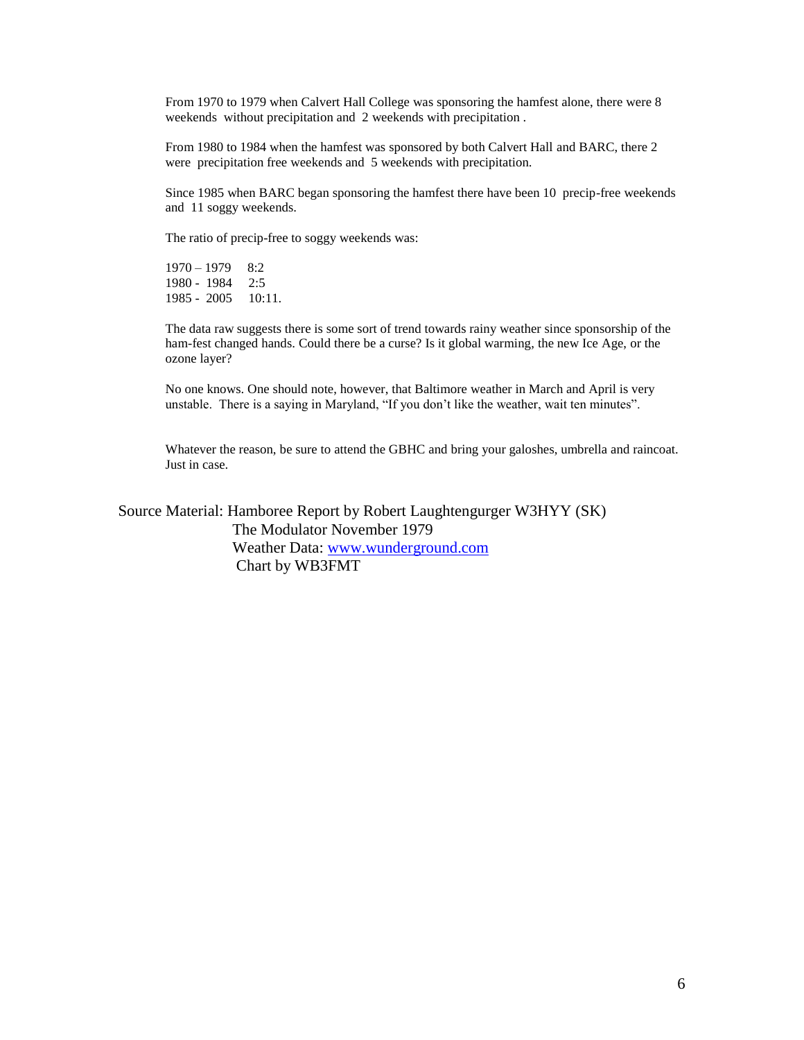From 1970 to 1979 when Calvert Hall College was sponsoring the hamfest alone, there were 8 weekends without precipitation and 2 weekends with precipitation .

From 1980 to 1984 when the hamfest was sponsored by both Calvert Hall and BARC, there 2 were precipitation free weekends and 5 weekends with precipitation.

Since 1985 when BARC began sponsoring the hamfest there have been 10 precip-free weekends and 11 soggy weekends.

The ratio of precip-free to soggy weekends was:

1970 – 1979 – 8:2<br>1980 - 1984 – 2:5 1980 - 1984 1985 - 2005 10:11.

The data raw suggests there is some sort of trend towards rainy weather since sponsorship of the ham-fest changed hands. Could there be a curse? Is it global warming, the new Ice Age, or the ozone layer?

No one knows. One should note, however, that Baltimore weather in March and April is very unstable. There is a saying in Maryland, "If you don't like the weather, wait ten minutes".

Whatever the reason, be sure to attend the GBHC and bring your galoshes, umbrella and raincoat. Just in case.

Source Material: Hamboree Report by Robert Laughtengurger W3HYY (SK) The Modulator November 1979 Weather Data: [www.wunderground.com](http://www.wunderground.com/) Chart by WB3FMT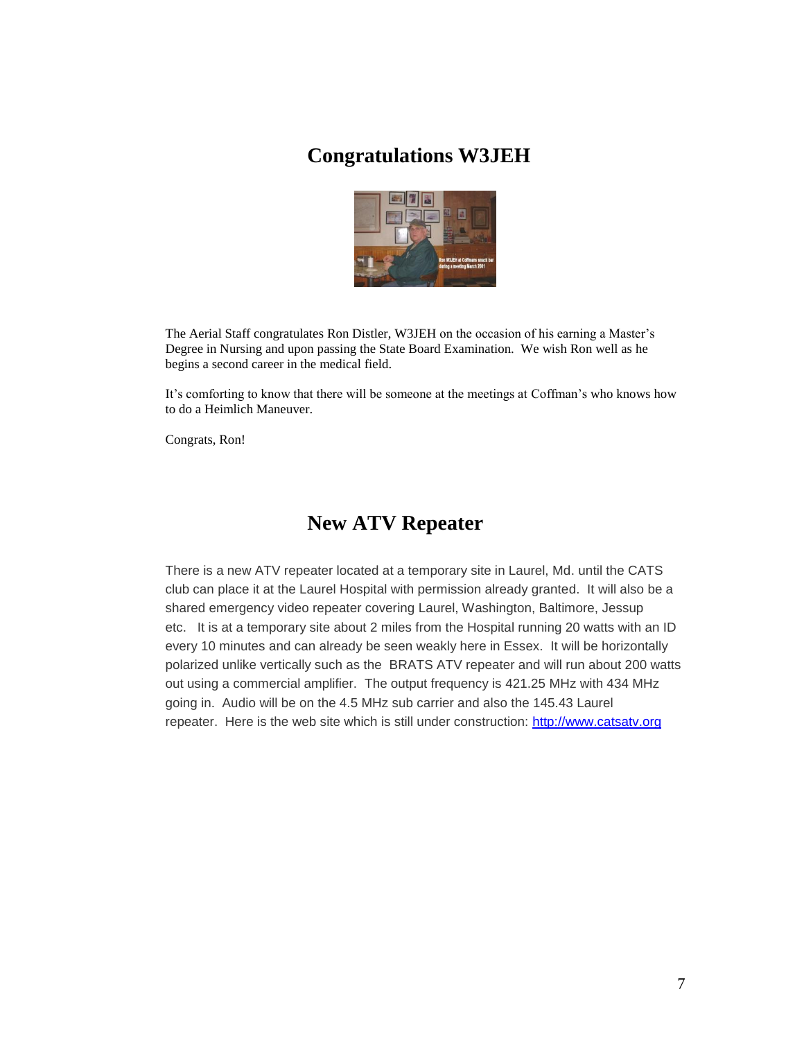## **Congratulations W3JEH**



The Aerial Staff congratulates Ron Distler, W3JEH on the occasion of his earning a Master's Degree in Nursing and upon passing the State Board Examination. We wish Ron well as he begins a second career in the medical field.

It's comforting to know that there will be someone at the meetings at Coffman's who knows how to do a Heimlich Maneuver.

Congrats, Ron! 

## **New ATV Repeater**

There is a new ATV repeater located at a temporary site in Laurel, Md. until the CATS club can place it at the Laurel Hospital with permission already granted. It will also be a shared emergency video repeater covering Laurel, Washington, Baltimore, Jessup etc. It is at a temporary site about 2 miles from the Hospital running 20 watts with an ID every 10 minutes and can already be seen weakly here in Essex. It will be horizontally polarized unlike vertically such as the BRATS ATV repeater and will run about 200 watts out using a commercial amplifier. The output frequency is 421.25 MHz with 434 MHz going in. Audio will be on the 4.5 MHz sub carrier and also the 145.43 Laurel repeater. Here is the web site which is still under construction: [http://www.catsatv.org](http://www.catsatv.org/)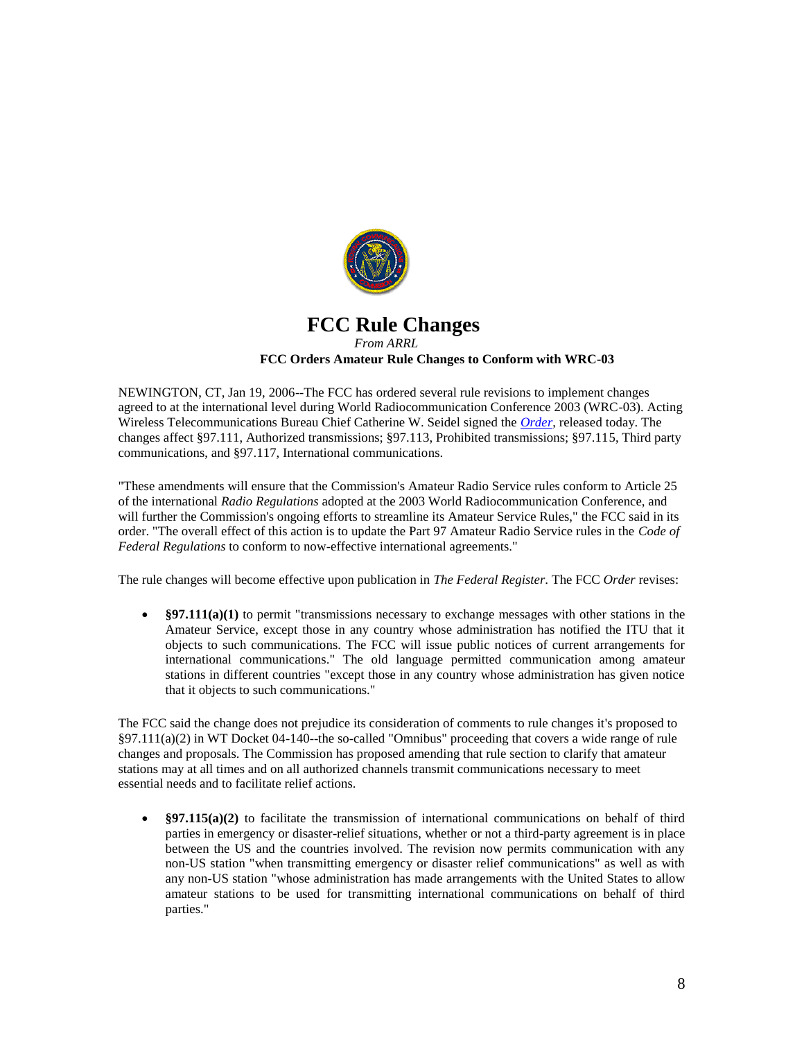

#### **FCC Rule Changes** *From ARRL* **FCC Orders Amateur Rule Changes to Conform with WRC-03**

NEWINGTON, CT, Jan 19, 2006--The FCC has ordered several rule revisions to implement changes agreed to at the international level during World Radiocommunication Conference 2003 (WRC-03). Acting Wireless Telecommunications Bureau Chief Catherine W. Seidel signed the *[Order](http://hraunfoss.fcc.gov/edocs_public/attachmatch/DA-06-79A1.pdf)*, released today. The changes affect §97.111, Authorized transmissions; §97.113, Prohibited transmissions; §97.115, Third party communications, and §97.117, International communications.

"These amendments will ensure that the Commission's Amateur Radio Service rules conform to Article 25 of the international *Radio Regulations* adopted at the 2003 World Radiocommunication Conference, and will further the Commission's ongoing efforts to streamline its Amateur Service Rules," the FCC said in its order. "The overall effect of this action is to update the Part 97 Amateur Radio Service rules in the *Code of Federal Regulations* to conform to now-effective international agreements."

The rule changes will become effective upon publication in *The Federal Register*. The FCC *Order* revises:

• §97.111(a)(1) to permit "transmissions necessary to exchange messages with other stations in the Amateur Service, except those in any country whose administration has notified the ITU that it objects to such communications. The FCC will issue public notices of current arrangements for international communications." The old language permitted communication among amateur stations in different countries "except those in any country whose administration has given notice that it objects to such communications."

The FCC said the change does not prejudice its consideration of comments to rule changes it's proposed to §97.111(a)(2) in WT Docket 04-140--the so-called "Omnibus" proceeding that covers a wide range of rule changes and proposals. The Commission has proposed amending that rule section to clarify that amateur stations may at all times and on all authorized channels transmit communications necessary to meet essential needs and to facilitate relief actions.

• §97.115(a)(2) to facilitate the transmission of international communications on behalf of third parties in emergency or disaster-relief situations, whether or not a third-party agreement is in place between the US and the countries involved. The revision now permits communication with any non-US station "when transmitting emergency or disaster relief communications" as well as with any non-US station "whose administration has made arrangements with the United States to allow amateur stations to be used for transmitting international communications on behalf of third parties."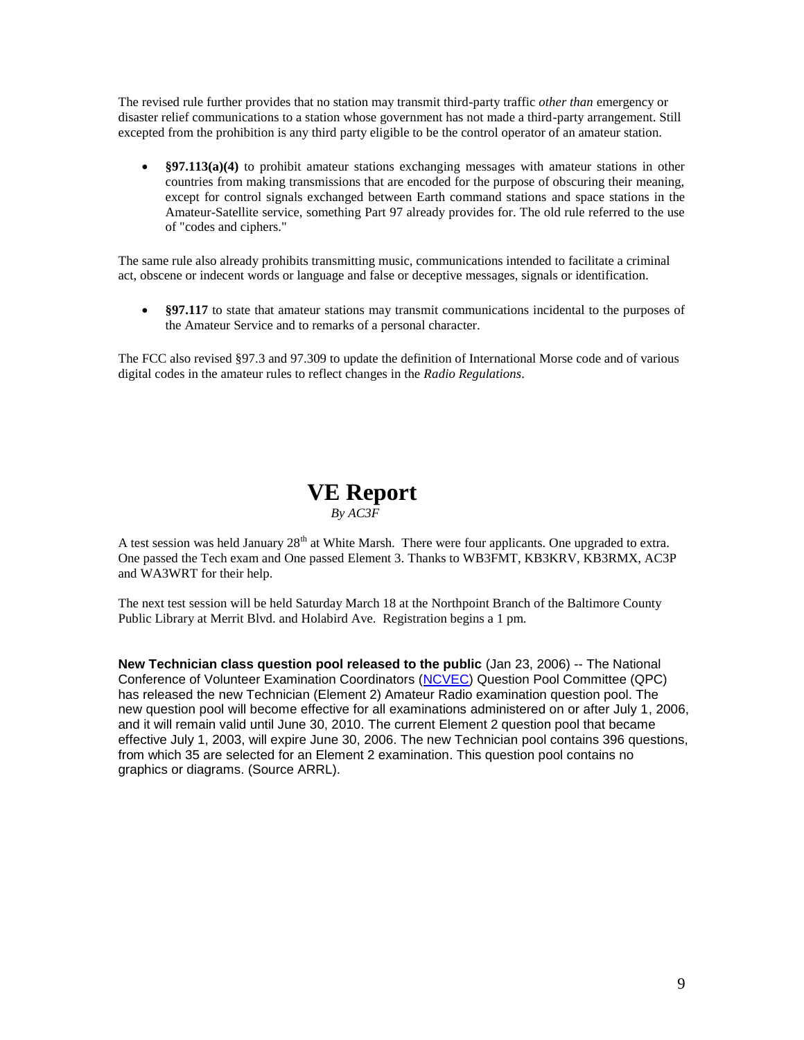The revised rule further provides that no station may transmit third-party traffic *other than* emergency or disaster relief communications to a station whose government has not made a third-party arrangement. Still excepted from the prohibition is any third party eligible to be the control operator of an amateur station.

 **§97.113(a)(4)** to prohibit amateur stations exchanging messages with amateur stations in other countries from making transmissions that are encoded for the purpose of obscuring their meaning, except for control signals exchanged between Earth command stations and space stations in the Amateur-Satellite service, something Part 97 already provides for. The old rule referred to the use of "codes and ciphers."

The same rule also already prohibits transmitting music, communications intended to facilitate a criminal act, obscene or indecent words or language and false or deceptive messages, signals or identification.

• §97.117 to state that amateur stations may transmit communications incidental to the purposes of the Amateur Service and to remarks of a personal character.

The FCC also revised §97.3 and 97.309 to update the definition of International Morse code and of various digital codes in the amateur rules to reflect changes in the *Radio Regulations*.

### **VE Report** *By AC3F*

A test session was held January  $28<sup>th</sup>$  at White Marsh. There were four applicants. One upgraded to extra. One passed the Tech exam and One passed Element 3. Thanks to WB3FMT, KB3KRV, KB3RMX, AC3P and WA3WRT for their help.

The next test session will be held Saturday March 18 at the Northpoint Branch of the Baltimore County Public Library at Merrit Blvd. and Holabird Ave. Registration begins a 1 pm.

**New Technician class question pool released to the public** (Jan 23, 2006) -- The National Conference of Volunteer Examination Coordinators [\(NCVEC\)](http://www.ncvec.org/) Question Pool Committee (QPC) has released the new Technician (Element 2) Amateur Radio examination question pool. The new question pool will become effective for all examinations administered on or after July 1, 2006, and it will remain valid until June 30, 2010. The current Element 2 question pool that became effective July 1, 2003, will expire June 30, 2006. The new Technician pool contains 396 questions, from which 35 are selected for an Element 2 examination. This question pool contains no graphics or diagrams. (Source ARRL).